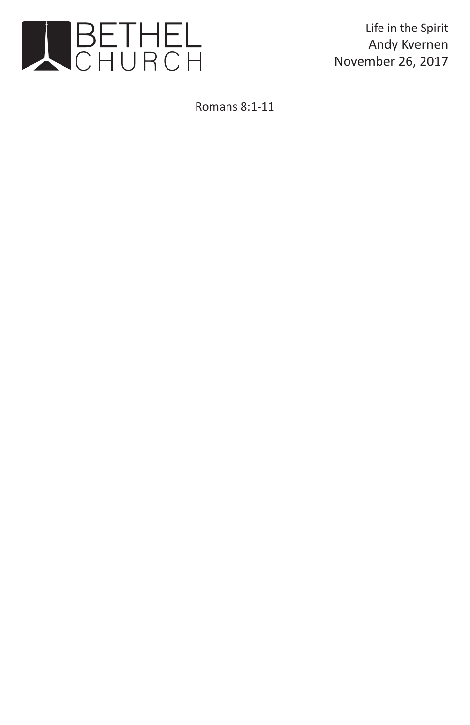

Life in the Spirit Andy Kvernen November 26, 2017

Romans 8:1-11